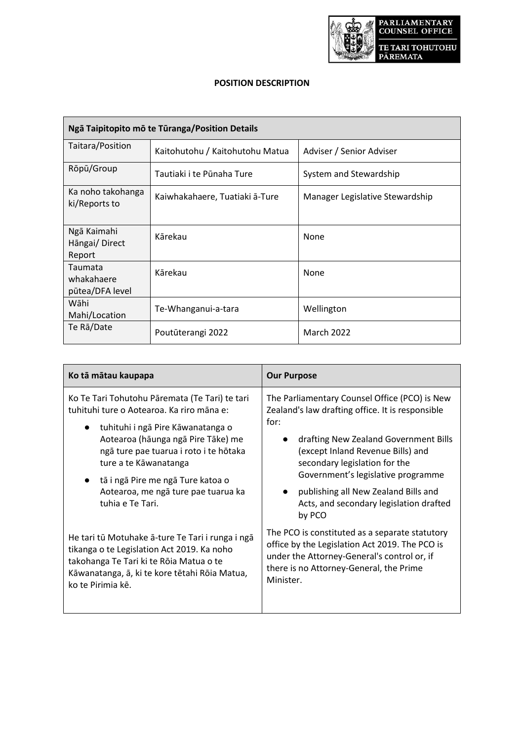

# **POSITION DESCRIPTION**

| Ngā Taipitopito mō te Tūranga/Position Details |                                 |                                 |
|------------------------------------------------|---------------------------------|---------------------------------|
| Taitara/Position                               | Kaitohutohu / Kaitohutohu Matua | Adviser / Senior Adviser        |
| Rōpū/Group                                     | Tautiaki i te Pūnaha Ture       | System and Stewardship          |
| Ka noho takohanga<br>ki/Reports to             | Kaiwhakahaere, Tuatiaki ā-Ture  | Manager Legislative Stewardship |
| Ngā Kaimahi<br>Hāngai/Direct<br>Report         | Kārekau                         | None                            |
| Taumata<br>whakahaere<br>pūtea/DFA level       | Kārekau                         | None                            |
| Wāhi<br>Mahi/Location                          | Te-Whanganui-a-tara             | Wellington                      |
| Te Ra/Date                                     | Poutūterangi 2022               | <b>March 2022</b>               |

| Ko tā mātau kaupapa                                                                                                                                                                                                                                                                                                                                    | <b>Our Purpose</b>                                                                                                                                                                                                                                                                                                                                                       |  |
|--------------------------------------------------------------------------------------------------------------------------------------------------------------------------------------------------------------------------------------------------------------------------------------------------------------------------------------------------------|--------------------------------------------------------------------------------------------------------------------------------------------------------------------------------------------------------------------------------------------------------------------------------------------------------------------------------------------------------------------------|--|
| Ko Te Tari Tohutohu Pāremata (Te Tari) te tari<br>tuhituhi ture o Aotearoa. Ka riro māna e:<br>tuhituhi i ngā Pire Kāwanatanga o<br>$\bullet$<br>Aotearoa (hāunga ngā Pire Tāke) me<br>ngā ture pae tuarua i roto i te hōtaka<br>ture a te Kāwanatanga<br>tā i ngā Pire me ngā Ture katoa o<br>Aotearoa, me ngā ture pae tuarua ka<br>tuhia e Te Tari. | The Parliamentary Counsel Office (PCO) is New<br>Zealand's law drafting office. It is responsible<br>for:<br>drafting New Zealand Government Bills<br>(except Inland Revenue Bills) and<br>secondary legislation for the<br>Government's legislative programme<br>publishing all New Zealand Bills and<br>$\bullet$<br>Acts, and secondary legislation drafted<br>by PCO |  |
| He tari tū Motuhake ā-ture Te Tari i runga i ngā<br>tikanga o te Legislation Act 2019. Ka noho<br>takohanga Te Tari ki te Rōia Matua o te<br>Kāwanatanga, ā, ki te kore tētahi Rōia Matua,<br>ko te Pirimia kē.                                                                                                                                        | The PCO is constituted as a separate statutory<br>office by the Legislation Act 2019. The PCO is<br>under the Attorney-General's control or, if<br>there is no Attorney-General, the Prime<br>Minister.                                                                                                                                                                  |  |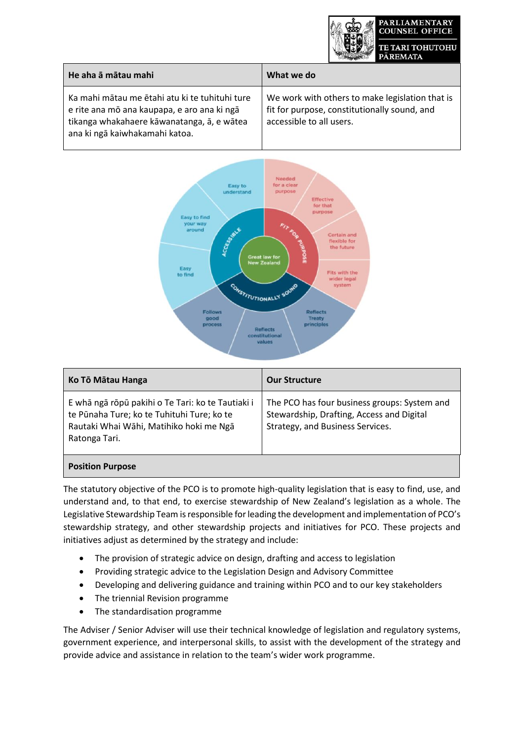

| He aha ā mātau mahi                                                                                                                                                           | What we do                                                                                                                  |
|-------------------------------------------------------------------------------------------------------------------------------------------------------------------------------|-----------------------------------------------------------------------------------------------------------------------------|
| Ka mahi mātau me ētahi atu ki te tuhituhi ture<br>e rite ana mō ana kaupapa, e aro ana ki ngā<br>tikanga whakahaere kāwanatanga, ā, e wātea<br>ana ki ngā kaiwhakamahi katoa. | We work with others to make legislation that is<br>fit for purpose, constitutionally sound, and<br>accessible to all users. |



| Ko Tō Mātau Hanga                                                                                                                                           | <b>Our Structure</b>                                                                                                          |
|-------------------------------------------------------------------------------------------------------------------------------------------------------------|-------------------------------------------------------------------------------------------------------------------------------|
| E whā ngā rōpū pakihi o Te Tari: ko te Tautiaki i<br>te Pūnaha Ture; ko te Tuhituhi Ture; ko te<br>Rautaki Whai Wāhi, Matihiko hoki me Ngā<br>Ratonga Tari. | The PCO has four business groups: System and<br>Stewardship, Drafting, Access and Digital<br>Strategy, and Business Services. |
| <b>Position Purpose</b>                                                                                                                                     |                                                                                                                               |

The statutory objective of the PCO is to promote high-quality legislation that is easy to find, use, and understand and, to that end, to exercise stewardship of New Zealand's legislation as a whole. The Legislative Stewardship Team is responsible for leading the development and implementation of PCO's stewardship strategy, and other stewardship projects and initiatives for PCO. These projects and initiatives adjust as determined by the strategy and include:

- The provision of strategic advice on design, drafting and access to legislation
- Providing strategic advice to the Legislation Design and Advisory Committee
- Developing and delivering guidance and training within PCO and to our key stakeholders
- The triennial Revision programme
- The standardisation programme

The Adviser / Senior Adviser will use their technical knowledge of legislation and regulatory systems, government experience, and interpersonal skills, to assist with the development of the strategy and provide advice and assistance in relation to the team's wider work programme.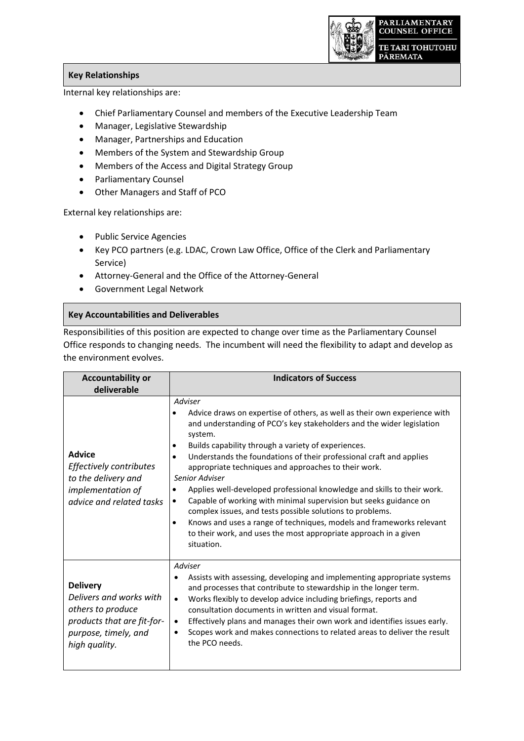

## **Key Relationships**

Internal key relationships are:

- Chief Parliamentary Counsel and members of the Executive Leadership Team
- Manager, Legislative Stewardship
- Manager, Partnerships and Education
- Members of the System and Stewardship Group
- Members of the Access and Digital Strategy Group
- Parliamentary Counsel
- Other Managers and Staff of PCO

External key relationships are:

- Public Service Agencies
- Key PCO partners (e.g. LDAC, Crown Law Office, Office of the Clerk and Parliamentary Service)
- Attorney-General and the Office of the Attorney-General
- Government Legal Network

#### **Key Accountabilities and Deliverables**

Responsibilities of this position are expected to change over time as the Parliamentary Counsel Office responds to changing needs. The incumbent will need the flexibility to adapt and develop as the environment evolves.

| <b>Accountability or</b>                                                                                                               | <b>Indicators of Success</b>                                                                                                                                                                                                                                                                                                                                                                                                                                                                                                                                                                                                                                                                                                                                                                     |
|----------------------------------------------------------------------------------------------------------------------------------------|--------------------------------------------------------------------------------------------------------------------------------------------------------------------------------------------------------------------------------------------------------------------------------------------------------------------------------------------------------------------------------------------------------------------------------------------------------------------------------------------------------------------------------------------------------------------------------------------------------------------------------------------------------------------------------------------------------------------------------------------------------------------------------------------------|
| deliverable                                                                                                                            |                                                                                                                                                                                                                                                                                                                                                                                                                                                                                                                                                                                                                                                                                                                                                                                                  |
| <b>Advice</b><br>Effectively contributes<br>to the delivery and<br>implementation of<br>advice and related tasks                       | Adviser<br>Advice draws on expertise of others, as well as their own experience with<br>and understanding of PCO's key stakeholders and the wider legislation<br>system.<br>Builds capability through a variety of experiences.<br>٠<br>Understands the foundations of their professional craft and applies<br>٠<br>appropriate techniques and approaches to their work.<br>Senior Adviser<br>Applies well-developed professional knowledge and skills to their work.<br>$\bullet$<br>Capable of working with minimal supervision but seeks guidance on<br>٠<br>complex issues, and tests possible solutions to problems.<br>Knows and uses a range of techniques, models and frameworks relevant<br>$\bullet$<br>to their work, and uses the most appropriate approach in a given<br>situation. |
| <b>Delivery</b><br>Delivers and works with<br>others to produce<br>products that are fit-for-<br>purpose, timely, and<br>high quality. | Adviser<br>Assists with assessing, developing and implementing appropriate systems<br>and processes that contribute to stewardship in the longer term.<br>Works flexibly to develop advice including briefings, reports and<br>$\bullet$<br>consultation documents in written and visual format.<br>Effectively plans and manages their own work and identifies issues early.<br>$\bullet$<br>Scopes work and makes connections to related areas to deliver the result<br>$\bullet$<br>the PCO needs.                                                                                                                                                                                                                                                                                            |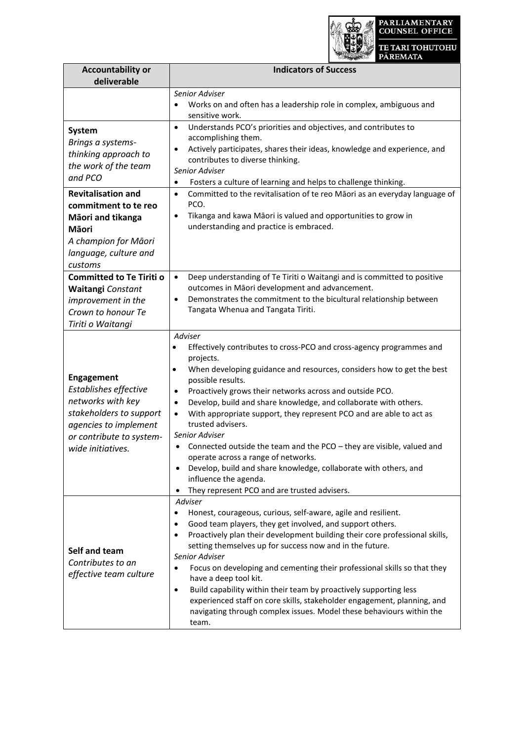

| <b>Accountability or</b><br>deliverable                                                                                                                              | <b>Indicators of Success</b>                                                                                                                                                                                                                                                                                                                                                                                                                                                                                                                                                                                                                                                                                                                                                |
|----------------------------------------------------------------------------------------------------------------------------------------------------------------------|-----------------------------------------------------------------------------------------------------------------------------------------------------------------------------------------------------------------------------------------------------------------------------------------------------------------------------------------------------------------------------------------------------------------------------------------------------------------------------------------------------------------------------------------------------------------------------------------------------------------------------------------------------------------------------------------------------------------------------------------------------------------------------|
|                                                                                                                                                                      | Senior Adviser<br>Works on and often has a leadership role in complex, ambiguous and<br>$\bullet$<br>sensitive work.                                                                                                                                                                                                                                                                                                                                                                                                                                                                                                                                                                                                                                                        |
| <b>System</b><br>Brings a systems-<br>thinking approach to<br>the work of the team<br>and PCO                                                                        | Understands PCO's priorities and objectives, and contributes to<br>$\bullet$<br>accomplishing them.<br>Actively participates, shares their ideas, knowledge and experience, and<br>٠<br>contributes to diverse thinking.<br>Senior Adviser<br>Fosters a culture of learning and helps to challenge thinking.<br>$\bullet$                                                                                                                                                                                                                                                                                                                                                                                                                                                   |
| <b>Revitalisation and</b><br>commitment to te reo<br>Māori and tikanga<br>Māori<br>A champion for Māori<br>language, culture and<br>customs                          | Committed to the revitalisation of te reo Māori as an everyday language of<br>$\bullet$<br>PCO.<br>Tikanga and kawa Māori is valued and opportunities to grow in<br>٠<br>understanding and practice is embraced.                                                                                                                                                                                                                                                                                                                                                                                                                                                                                                                                                            |
| <b>Committed to Te Tiriti o</b><br>Waitangi Constant<br>improvement in the<br>Crown to honour Te<br>Tiriti o Waitangi                                                | Deep understanding of Te Tiriti o Waitangi and is committed to positive<br>$\bullet$<br>outcomes in Māori development and advancement.<br>Demonstrates the commitment to the bicultural relationship between<br>$\bullet$<br>Tangata Whenua and Tangata Tiriti.                                                                                                                                                                                                                                                                                                                                                                                                                                                                                                             |
| <b>Engagement</b><br>Establishes effective<br>networks with key<br>stakeholders to support<br>agencies to implement<br>or contribute to system-<br>wide initiatives. | Adviser<br>Effectively contributes to cross-PCO and cross-agency programmes and<br>$\bullet$<br>projects.<br>When developing guidance and resources, considers how to get the best<br>$\bullet$<br>possible results.<br>Proactively grows their networks across and outside PCO.<br>٠<br>Develop, build and share knowledge, and collaborate with others.<br>$\bullet$<br>With appropriate support, they represent PCO and are able to act as<br>$\bullet$<br>trusted advisers.<br>Senior Adviser<br>Connected outside the team and the PCO - they are visible, valued and<br>operate across a range of networks.<br>Develop, build and share knowledge, collaborate with others, and<br>influence the agenda.<br>They represent PCO and are trusted advisers.<br>$\bullet$ |
| Self and team<br>Contributes to an<br>effective team culture                                                                                                         | Adviser<br>Honest, courageous, curious, self-aware, agile and resilient.<br>٠<br>Good team players, they get involved, and support others.<br>٠<br>Proactively plan their development building their core professional skills,<br>setting themselves up for success now and in the future.<br>Senior Adviser<br>Focus on developing and cementing their professional skills so that they<br>٠<br>have a deep tool kit.<br>Build capability within their team by proactively supporting less<br>٠<br>experienced staff on core skills, stakeholder engagement, planning, and<br>navigating through complex issues. Model these behaviours within the<br>team.                                                                                                                |